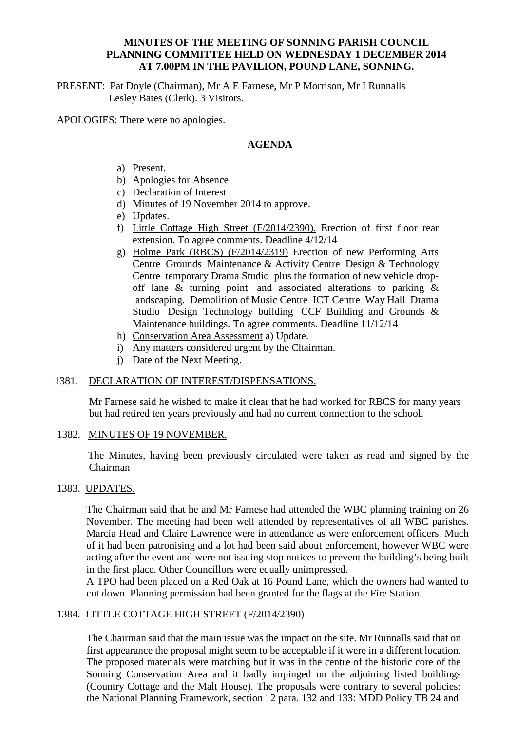# **MINUTES OF THE MEETING OF SONNING PARISH COUNCIL PLANNING COMMITTEE HELD ON WEDNESDAY 1 DECEMBER 2014 AT 7.00PM IN THE PAVILION, POUND LANE, SONNING.**

PRESENT: Pat Doyle (Chairman), Mr A E Farnese, Mr P Morrison, Mr I Runnalls Lesley Bates (Clerk). 3 Visitors.

APOLOGIES: There were no apologies.

# **AGENDA**

- a) Present.
- b) Apologies for Absence
- c) Declaration of Interest
- d) Minutes of 19 November 2014 to approve.
- e) Updates.
- f) Little Cottage High Street (F/2014/2390). Erection of first floor rear extension. To agree comments. Deadline 4/12/14
- g) Holme Park (RBCS) (F/2014/2319) Erection of new Performing Arts Centre Grounds Maintenance & Activity Centre Design & Technology Centre temporary Drama Studio plus the formation of new vehicle dropoff lane  $\&$  turning point and associated alterations to parking  $\&$ landscaping. Demolition of Music Centre ICT Centre Way Hall Drama Studio Design Technology building CCF Building and Grounds & Maintenance buildings. To agree comments. Deadline 11/12/14
- h) Conservation Area Assessment a) Update.
- i) Any matters considered urgent by the Chairman.
- j) Date of the Next Meeting.

#### 1381. DECLARATION OF INTEREST/DISPENSATIONS.

Mr Farnese said he wished to make it clear that he had worked for RBCS for many years but had retired ten years previously and had no current connection to the school.

#### 1382. MINUTES OF 19 NOVEMBER.

 The Minutes, having been previously circulated were taken as read and signed by the Chairman

### 1383. UPDATES.

The Chairman said that he and Mr Farnese had attended the WBC planning training on 26 November. The meeting had been well attended by representatives of all WBC parishes. Marcia Head and Claire Lawrence were in attendance as were enforcement officers. Much of it had been patronising and a lot had been said about enforcement, however WBC were acting after the event and were not issuing stop notices to prevent the building's being built in the first place. Other Councillors were equally unimpressed.

A TPO had been placed on a Red Oak at 16 Pound Lane, which the owners had wanted to cut down. Planning permission had been granted for the flags at the Fire Station.

# 1384. LITTLE COTTAGE HIGH STREET (F/2014/2390)

The Chairman said that the main issue was the impact on the site. Mr Runnalls said that on first appearance the proposal might seem to be acceptable if it were in a different location. The proposed materials were matching but it was in the centre of the historic core of the Sonning Conservation Area and it badly impinged on the adjoining listed buildings (Country Cottage and the Malt House). The proposals were contrary to several policies: the National Planning Framework, section 12 para. 132 and 133: MDD Policy TB 24 and